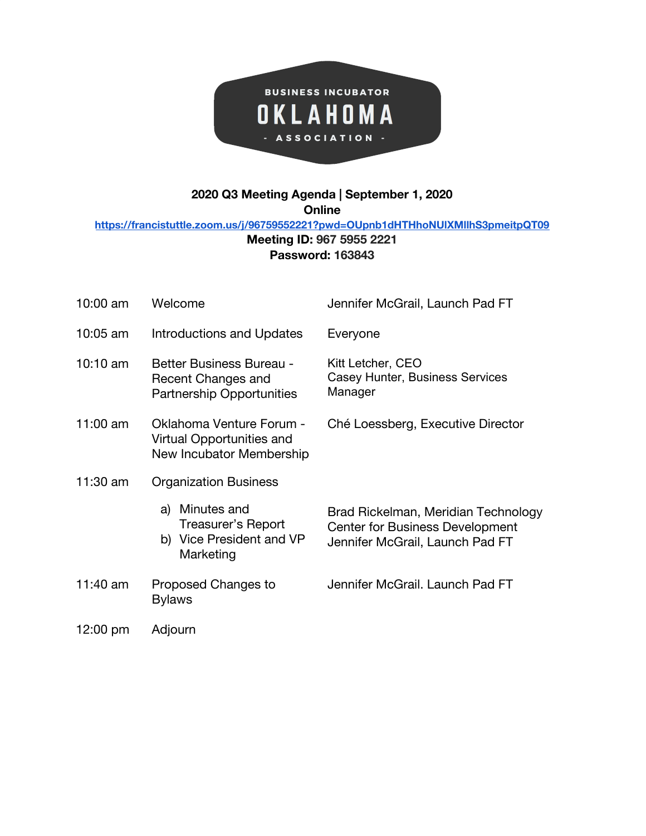

## **2020 Q3 Meeting Agenda | September 1, 2020**

**Online**

**<https://francistuttle.zoom.us/j/96759552221?pwd=OUpnb1dHTHhoNUlXMllhS3pmeitpQT09>**

## **Meeting ID: 967 5955 2221 Password: 163843**

| 10:00 am           | Welcome                                                                                   | Jennifer McGrail, Launch Pad FT                                                                                  |
|--------------------|-------------------------------------------------------------------------------------------|------------------------------------------------------------------------------------------------------------------|
| $10:05$ am         | <b>Introductions and Updates</b>                                                          | Everyone                                                                                                         |
| $10:10 \text{ am}$ | <b>Better Business Bureau -</b><br>Recent Changes and<br><b>Partnership Opportunities</b> | Kitt Letcher, CEO<br>Casey Hunter, Business Services<br>Manager                                                  |
| $11:00$ am         | Oklahoma Venture Forum -<br>Virtual Opportunities and<br>New Incubator Membership         | Ché Loessberg, Executive Director                                                                                |
| 11:30 am           | <b>Organization Business</b>                                                              |                                                                                                                  |
|                    | Minutes and<br>a)<br>Treasurer's Report<br>b) Vice President and VP<br>Marketing          | Brad Rickelman, Meridian Technology<br><b>Center for Business Development</b><br>Jennifer McGrail, Launch Pad FT |
| 11:40 $am$         | Proposed Changes to<br><b>Bylaws</b>                                                      | Jennifer McGrail, Launch Pad FT                                                                                  |
| 12:00 pm           | Adjourn                                                                                   |                                                                                                                  |